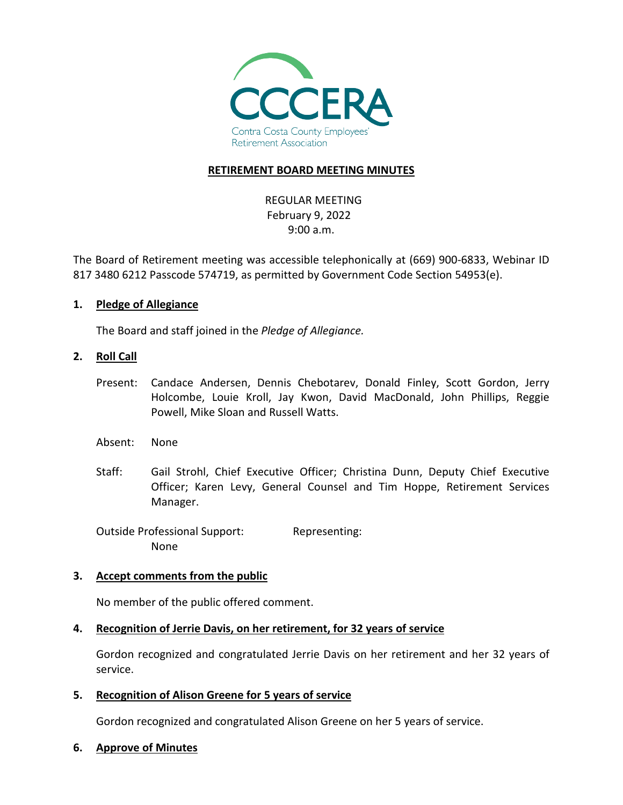

## **RETIREMENT BOARD MEETING MINUTES**

REGULAR MEETING February 9, 2022 9:00 a.m.

The Board of Retirement meeting was accessible telephonically at (669) 900-6833, Webinar ID 817 3480 6212 Passcode 574719, as permitted by Government Code Section 54953(e).

### **1. Pledge of Allegiance**

The Board and staff joined in the *Pledge of Allegiance.*

#### **2. Roll Call**

- Present: Candace Andersen, Dennis Chebotarev, Donald Finley, Scott Gordon, Jerry Holcombe, Louie Kroll, Jay Kwon, David MacDonald, John Phillips, Reggie Powell, Mike Sloan and Russell Watts.
- Absent: None
- Staff: Gail Strohl, Chief Executive Officer; Christina Dunn, Deputy Chief Executive Officer; Karen Levy, General Counsel and Tim Hoppe, Retirement Services Manager.

Outside Professional Support: Representing: None

### **3. Accept comments from the public**

No member of the public offered comment.

### **4. Recognition of Jerrie Davis, on her retirement, for 32 years of service**

Gordon recognized and congratulated Jerrie Davis on her retirement and her 32 years of service.

**5. Recognition of Alison Greene for 5 years of service**

Gordon recognized and congratulated Alison Greene on her 5 years of service.

#### **6. Approve of Minutes**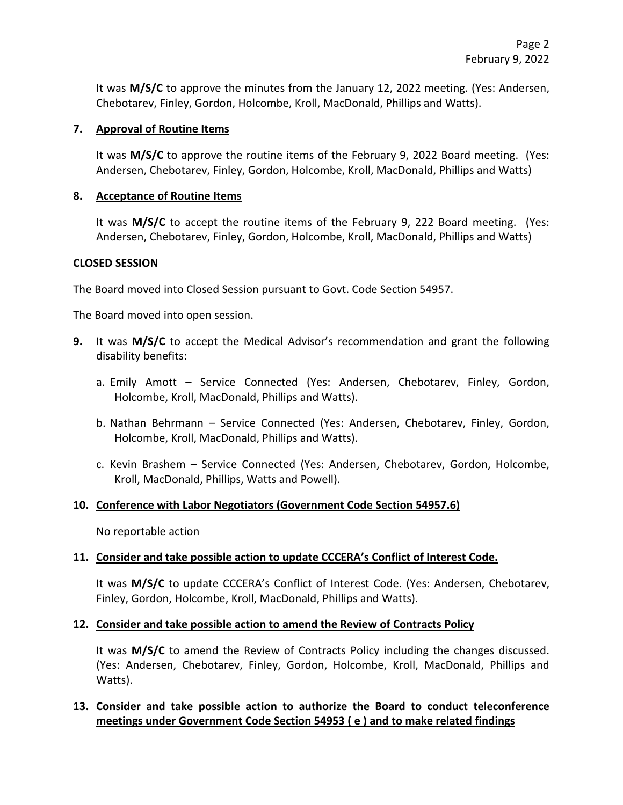It was **M/S/C** to approve the minutes from the January 12, 2022 meeting. (Yes: Andersen, Chebotarev, Finley, Gordon, Holcombe, Kroll, MacDonald, Phillips and Watts).

### **7. Approval of Routine Items**

It was **M/S/C** to approve the routine items of the February 9, 2022 Board meeting. (Yes: Andersen, Chebotarev, Finley, Gordon, Holcombe, Kroll, MacDonald, Phillips and Watts)

### **8. Acceptance of Routine Items**

It was **M/S/C** to accept the routine items of the February 9, 222 Board meeting. (Yes: Andersen, Chebotarev, Finley, Gordon, Holcombe, Kroll, MacDonald, Phillips and Watts)

### **CLOSED SESSION**

The Board moved into Closed Session pursuant to Govt. Code Section 54957.

The Board moved into open session.

- **9.** It was **M/S/C** to accept the Medical Advisor's recommendation and grant the following disability benefits:
	- a. Emily Amott Service Connected (Yes: Andersen, Chebotarev, Finley, Gordon, Holcombe, Kroll, MacDonald, Phillips and Watts).
	- b. Nathan Behrmann Service Connected (Yes: Andersen, Chebotarev, Finley, Gordon, Holcombe, Kroll, MacDonald, Phillips and Watts).
	- c. Kevin Brashem Service Connected (Yes: Andersen, Chebotarev, Gordon, Holcombe, Kroll, MacDonald, Phillips, Watts and Powell).

### **10. Conference with Labor Negotiators (Government Code Section 54957.6)**

No reportable action

### **11. Consider and take possible action to update CCCERA's Conflict of Interest Code.**

It was **M/S/C** to update CCCERA's Conflict of Interest Code. (Yes: Andersen, Chebotarev, Finley, Gordon, Holcombe, Kroll, MacDonald, Phillips and Watts).

### **12. Consider and take possible action to amend the Review of Contracts Policy**

It was **M/S/C** to amend the Review of Contracts Policy including the changes discussed. (Yes: Andersen, Chebotarev, Finley, Gordon, Holcombe, Kroll, MacDonald, Phillips and Watts).

## **13. Consider and take possible action to authorize the Board to conduct teleconference meetings under Government Code Section 54953 ( e ) and to make related findings**